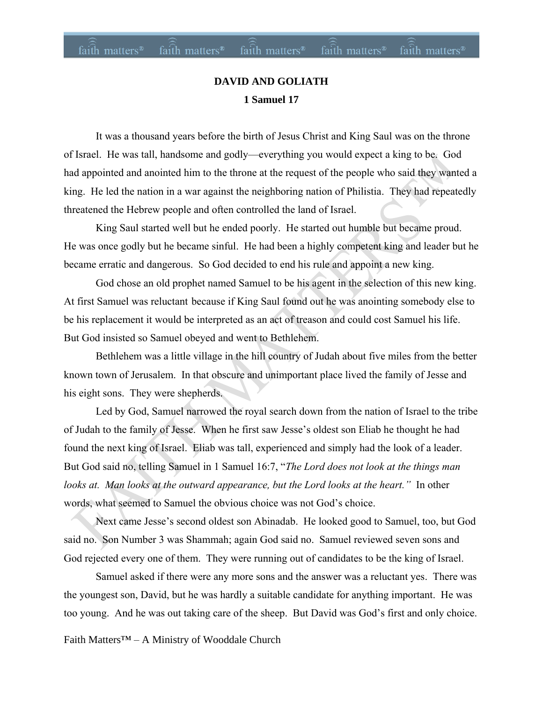### faith matters<sup>®</sup> faith matters<sup>®</sup> faith matters<sup>®</sup> faith matters<sup>®</sup> faith matters<sup>®</sup>

### **DAVID AND GOLIATH 1 Samuel 17**

It was a thousand years before the birth of Jesus Christ and King Saul was on the throne of Israel. He was tall, handsome and godly—everything you would expect a king to be. God had appointed and anointed him to the throne at the request of the people who said they wanted a king. He led the nation in a war against the neighboring nation of Philistia. They had repeatedly threatened the Hebrew people and often controlled the land of Israel.

King Saul started well but he ended poorly. He started out humble but became proud. He was once godly but he became sinful. He had been a highly competent king and leader but he became erratic and dangerous. So God decided to end his rule and appoint a new king.

God chose an old prophet named Samuel to be his agent in the selection of this new king. At first Samuel was reluctant because if King Saul found out he was anointing somebody else to be his replacement it would be interpreted as an act of treason and could cost Samuel his life. But God insisted so Samuel obeyed and went to Bethlehem.

Bethlehem was a little village in the hill country of Judah about five miles from the better known town of Jerusalem. In that obscure and unimportant place lived the family of Jesse and his eight sons. They were shepherds.

Led by God, Samuel narrowed the royal search down from the nation of Israel to the tribe of Judah to the family of Jesse. When he first saw Jesse's oldest son Eliab he thought he had found the next king of Israel. Eliab was tall, experienced and simply had the look of a leader. But God said no, telling Samuel in 1 Samuel 16:7, "*The Lord does not look at the things man looks at. Man looks at the outward appearance, but the Lord looks at the heart."* In other words, what seemed to Samuel the obvious choice was not God's choice.

Next came Jesse's second oldest son Abinadab. He looked good to Samuel, too, but God said no. Son Number 3 was Shammah; again God said no. Samuel reviewed seven sons and God rejected every one of them. They were running out of candidates to be the king of Israel.

Samuel asked if there were any more sons and the answer was a reluctant yes. There was the youngest son, David, but he was hardly a suitable candidate for anything important. He was too young. And he was out taking care of the sheep. But David was God's first and only choice.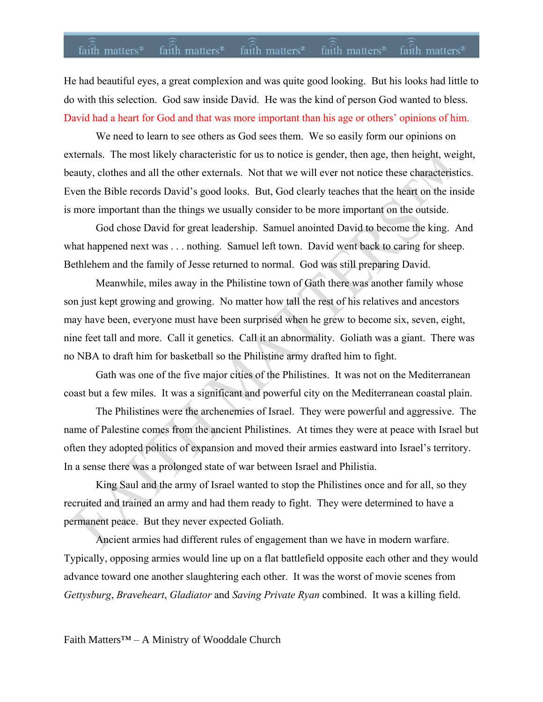### faith matters<sup>®</sup> faith matters<sup>®</sup> faith matters<sup>®</sup> faith matters<sup>®</sup> faith matters<sup>®</sup>

He had beautiful eyes, a great complexion and was quite good looking. But his looks had little to do with this selection. God saw inside David. He was the kind of person God wanted to bless. David had a heart for God and that was more important than his age or others' opinions of him.

We need to learn to see others as God sees them. We so easily form our opinions on externals. The most likely characteristic for us to notice is gender, then age, then height, weight, beauty, clothes and all the other externals. Not that we will ever not notice these characteristics. Even the Bible records David's good looks. But, God clearly teaches that the heart on the inside is more important than the things we usually consider to be more important on the outside.

God chose David for great leadership. Samuel anointed David to become the king. And what happened next was . . . nothing. Samuel left town. David went back to caring for sheep. Bethlehem and the family of Jesse returned to normal. God was still preparing David.

Meanwhile, miles away in the Philistine town of Gath there was another family whose son just kept growing and growing. No matter how tall the rest of his relatives and ancestors may have been, everyone must have been surprised when he grew to become six, seven, eight, nine feet tall and more. Call it genetics. Call it an abnormality. Goliath was a giant. There was no NBA to draft him for basketball so the Philistine army drafted him to fight.

Gath was one of the five major cities of the Philistines. It was not on the Mediterranean coast but a few miles. It was a significant and powerful city on the Mediterranean coastal plain.

The Philistines were the archenemies of Israel. They were powerful and aggressive. The name of Palestine comes from the ancient Philistines. At times they were at peace with Israel but often they adopted politics of expansion and moved their armies eastward into Israel's territory. In a sense there was a prolonged state of war between Israel and Philistia.

King Saul and the army of Israel wanted to stop the Philistines once and for all, so they recruited and trained an army and had them ready to fight. They were determined to have a permanent peace. But they never expected Goliath.

Ancient armies had different rules of engagement than we have in modern warfare. Typically, opposing armies would line up on a flat battlefield opposite each other and they would advance toward one another slaughtering each other. It was the worst of movie scenes from *Gettysburg*, *Braveheart*, *Gladiator* and *Saving Private Ryan* combined. It was a killing field.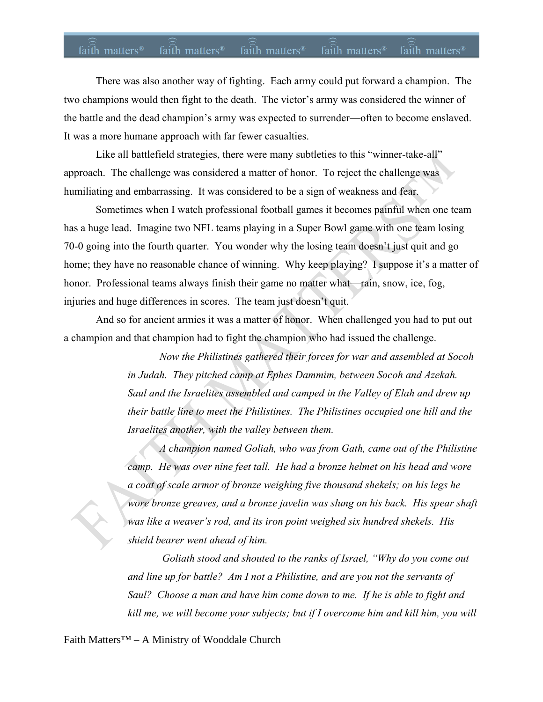## faith matters<sup>®</sup> faith matters<sup>®</sup> faith matters® faith matters® faith matters<sup>®</sup>

There was also another way of fighting. Each army could put forward a champion. The two champions would then fight to the death. The victor's army was considered the winner of the battle and the dead champion's army was expected to surrender—often to become enslaved. It was a more humane approach with far fewer casualties.

Like all battlefield strategies, there were many subtleties to this "winner-take-all" approach. The challenge was considered a matter of honor. To reject the challenge was humiliating and embarrassing. It was considered to be a sign of weakness and fear.

Sometimes when I watch professional football games it becomes painful when one team has a huge lead. Imagine two NFL teams playing in a Super Bowl game with one team losing 70-0 going into the fourth quarter. You wonder why the losing team doesn't just quit and go home; they have no reasonable chance of winning. Why keep playing? I suppose it's a matter of honor. Professional teams always finish their game no matter what—rain, snow, ice, fog, injuries and huge differences in scores. The team just doesn't quit.

And so for ancient armies it was a matter of honor. When challenged you had to put out a champion and that champion had to fight the champion who had issued the challenge.

> *Now the Philistines gathered their forces for war and assembled at Socoh in Judah. They pitched camp at Ephes Dammim, between Socoh and Azekah. Saul and the Israelites assembled and camped in the Valley of Elah and drew up their battle line to meet the Philistines. The Philistines occupied one hill and the Israelites another, with the valley between them.*

 *A champion named Goliah, who was from Gath, came out of the Philistine camp. He was over nine feet tall. He had a bronze helmet on his head and wore a coat of scale armor of bronze weighing five thousand shekels; on his legs he wore bronze greaves, and a bronze javelin was slung on his back. His spear shaft was like a weaver's rod, and its iron point weighed six hundred shekels. His shield bearer went ahead of him.* 

 *Goliath stood and shouted to the ranks of Israel, "Why do you come out and line up for battle? Am I not a Philistine, and are you not the servants of Saul? Choose a man and have him come down to me. If he is able to fight and kill me, we will become your subjects; but if I overcome him and kill him, you will*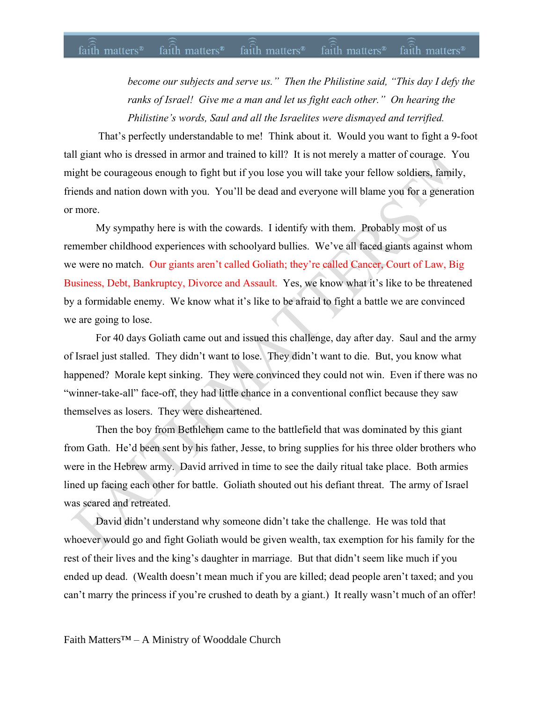#### faith matters<sup>®</sup> faith matters<sup>®</sup> faith matters<sup>®</sup> faith matters<sup>®</sup> faith matters<sup>®</sup>

*become our subjects and serve us." Then the Philistine said, "This day I defy the ranks of Israel! Give me a man and let us fight each other." On hearing the Philistine's words, Saul and all the Israelites were dismayed and terrified.*

That's perfectly understandable to me! Think about it. Would you want to fight a 9-foot tall giant who is dressed in armor and trained to kill? It is not merely a matter of courage. You might be courageous enough to fight but if you lose you will take your fellow soldiers, family, friends and nation down with you. You'll be dead and everyone will blame you for a generation or more.

My sympathy here is with the cowards. I identify with them. Probably most of us remember childhood experiences with schoolyard bullies. We've all faced giants against whom we were no match. Our giants aren't called Goliath; they're called Cancer, Court of Law, Big Business, Debt, Bankruptcy, Divorce and Assault. Yes, we know what it's like to be threatened by a formidable enemy. We know what it's like to be afraid to fight a battle we are convinced we are going to lose.

For 40 days Goliath came out and issued this challenge, day after day. Saul and the army of Israel just stalled. They didn't want to lose. They didn't want to die. But, you know what happened? Morale kept sinking. They were convinced they could not win. Even if there was no "winner-take-all" face-off, they had little chance in a conventional conflict because they saw themselves as losers. They were disheartened.

Then the boy from Bethlehem came to the battlefield that was dominated by this giant from Gath. He'd been sent by his father, Jesse, to bring supplies for his three older brothers who were in the Hebrew army. David arrived in time to see the daily ritual take place. Both armies lined up facing each other for battle. Goliath shouted out his defiant threat. The army of Israel was scared and retreated.

David didn't understand why someone didn't take the challenge. He was told that whoever would go and fight Goliath would be given wealth, tax exemption for his family for the rest of their lives and the king's daughter in marriage. But that didn't seem like much if you ended up dead. (Wealth doesn't mean much if you are killed; dead people aren't taxed; and you can't marry the princess if you're crushed to death by a giant.) It really wasn't much of an offer!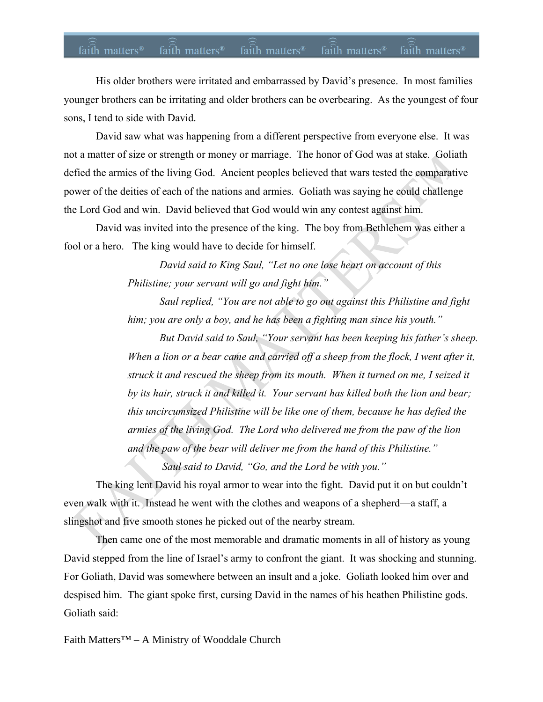#### faith matters<sup>®</sup> faith matters<sup>®</sup> faith matters<sup>®</sup> faith matters<sup>®</sup> faith matters<sup>®</sup>

His older brothers were irritated and embarrassed by David's presence. In most families younger brothers can be irritating and older brothers can be overbearing. As the youngest of four sons, I tend to side with David.

David saw what was happening from a different perspective from everyone else. It was not a matter of size or strength or money or marriage. The honor of God was at stake. Goliath defied the armies of the living God. Ancient peoples believed that wars tested the comparative power of the deities of each of the nations and armies. Goliath was saying he could challenge the Lord God and win. David believed that God would win any contest against him.

David was invited into the presence of the king. The boy from Bethlehem was either a fool or a hero. The king would have to decide for himself.

> *David said to King Saul, "Let no one lose heart on account of this Philistine; your servant will go and fight him."*

 *Saul replied, "You are not able to go out against this Philistine and fight him; you are only a boy, and he has been a fighting man since his youth."* 

 *But David said to Saul, "Your servant has been keeping his father's sheep. When a lion or a bear came and carried off a sheep from the flock, I went after it, struck it and rescued the sheep from its mouth. When it turned on me, I seized it by its hair, struck it and killed it. Your servant has killed both the lion and bear; this uncircumsized Philistine will be like one of them, because he has defied the armies of the living God. The Lord who delivered me from the paw of the lion and the paw of the bear will deliver me from the hand of this Philistine."* 

 *Saul said to David, "Go, and the Lord be with you."* 

The king lent David his royal armor to wear into the fight. David put it on but couldn't even walk with it. Instead he went with the clothes and weapons of a shepherd—a staff, a slingshot and five smooth stones he picked out of the nearby stream.

Then came one of the most memorable and dramatic moments in all of history as young David stepped from the line of Israel's army to confront the giant. It was shocking and stunning. For Goliath, David was somewhere between an insult and a joke. Goliath looked him over and despised him. The giant spoke first, cursing David in the names of his heathen Philistine gods. Goliath said: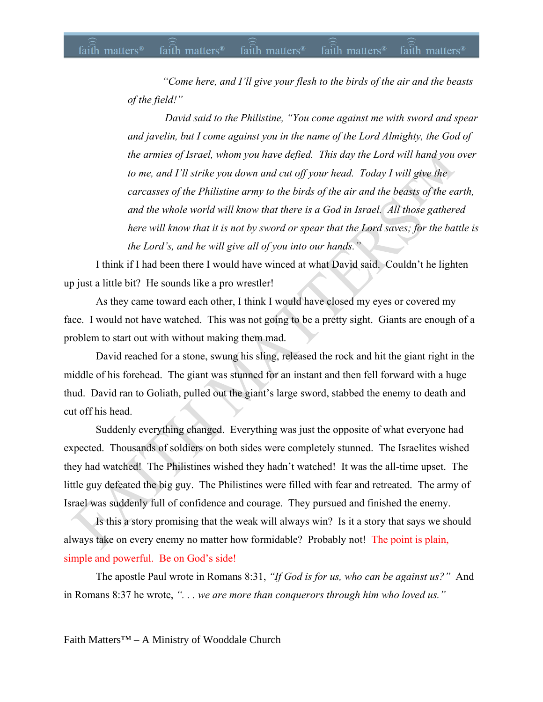*"Come here, and I'll give your flesh to the birds of the air and the beasts of the field!"* 

 *David said to the Philistine, "You come against me with sword and spear and javelin, but I come against you in the name of the Lord Almighty, the God of the armies of Israel, whom you have defied. This day the Lord will hand you over to me, and I'll strike you down and cut off your head. Today I will give the carcasses of the Philistine army to the birds of the air and the beasts of the earth, and the whole world will know that there is a God in Israel. All those gathered here will know that it is not by sword or spear that the Lord saves; for the battle is the Lord's, and he will give all of you into our hands."* 

I think if I had been there I would have winced at what David said. Couldn't he lighten up just a little bit? He sounds like a pro wrestler!

As they came toward each other, I think I would have closed my eyes or covered my face. I would not have watched. This was not going to be a pretty sight. Giants are enough of a problem to start out with without making them mad.

David reached for a stone, swung his sling, released the rock and hit the giant right in the middle of his forehead. The giant was stunned for an instant and then fell forward with a huge thud. David ran to Goliath, pulled out the giant's large sword, stabbed the enemy to death and cut off his head.

Suddenly everything changed. Everything was just the opposite of what everyone had expected. Thousands of soldiers on both sides were completely stunned. The Israelites wished they had watched! The Philistines wished they hadn't watched! It was the all-time upset. The little guy defeated the big guy. The Philistines were filled with fear and retreated. The army of Israel was suddenly full of confidence and courage. They pursued and finished the enemy.

Is this a story promising that the weak will always win? Is it a story that says we should always take on every enemy no matter how formidable? Probably not! The point is plain, simple and powerful. Be on God's side!

The apostle Paul wrote in Romans 8:31, *"If God is for us, who can be against us?"* And in Romans 8:37 he wrote, *". . . we are more than conquerors through him who loved us."*